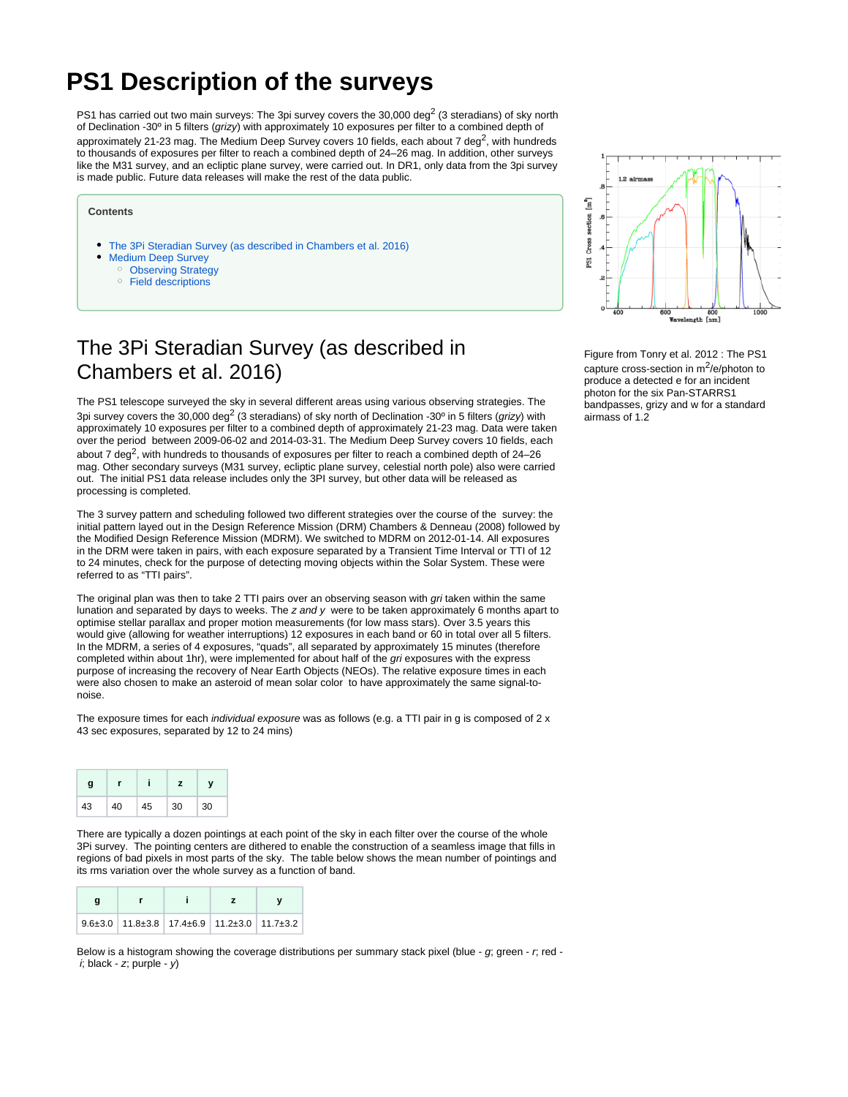# **PS1 Description of the surveys**

PS1 has carried out two main surveys: The 3pi survey covers the 30,000 deg<sup>2</sup> (3 steradians) of sky north of Declination -30º in 5 filters (grizy) with approximately 10 exposures per filter to a combined depth of approximately 21-23 mag. The Medium Deep Survey covers 10 fields, each about 7 deg<sup>2</sup>, with hundreds to thousands of exposures per filter to reach a combined depth of 24–26 mag. In addition, other surveys like the M31 survey, and an ecliptic plane survey, were carried out. In DR1, only data from the 3pi survey is made public. Future data releases will make the rest of the data public.

#### **Contents**

- [The 3Pi Steradian Survey \(as described in Chambers et al. 2016\)](#page-0-0)
- [Medium Deep Survey](#page-2-0)
	- <sup>o</sup> [Observing Strategy](#page-2-1)
	- <sup>o</sup> [Field descriptions](#page-2-2)

## <span id="page-0-0"></span>The 3Pi Steradian Survey (as described in Chambers et al. 2016)

The PS1 telescope surveyed the sky in several different areas using various observing strategies. The 3pi survey covers the 30,000 deg<sup>2</sup> (3 steradians) of sky north of Declination -30<sup>o</sup> in 5 filters (*grizy*) with approximately 10 exposures per filter to a combined depth of approximately 21-23 mag. Data were taken over the period between 2009-06-02 and 2014-03-31. The Medium Deep Survey covers 10 fields, each about 7 deg<sup>2</sup>, with hundreds to thousands of exposures per filter to reach a combined depth of 24–26 mag. Other secondary surveys (M31 survey, ecliptic plane survey, celestial north pole) also were carried out. The initial PS1 data release includes only the 3PI survey, but other data will be released as processing is completed.

The 3 survey pattern and scheduling followed two different strategies over the course of the survey: the initial pattern layed out in the Design Reference Mission (DRM) Chambers & Denneau (2008) followed by the Modified Design Reference Mission (MDRM). We switched to MDRM on 2012-01-14. All exposures in the DRM were taken in pairs, with each exposure separated by a Transient Time Interval or TTI of 12 to 24 minutes, check for the purpose of detecting moving objects within the Solar System. These were referred to as "TTI pairs".

The original plan was then to take 2 TTI pairs over an observing season with gri taken within the same lunation and separated by days to weeks. The  $z$  and  $y$  were to be taken approximately 6 months apart to optimise stellar parallax and proper motion measurements (for low mass stars). Over 3.5 years this would give (allowing for weather interruptions) 12 exposures in each band or 60 in total over all 5 filters. In the MDRM, a series of 4 exposures, "quads", all separated by approximately 15 minutes (therefore completed within about 1hr), were implemented for about half of the gri exposures with the express purpose of increasing the recovery of Near Earth Objects (NEOs). The relative exposure times in each were also chosen to make an asteroid of mean solar color to have approximately the same signal-tonoise.

The exposure times for each *individual exposure* was as follows (e.g. a TTI pair in g is composed of 2 x 43 sec exposures, separated by 12 to 24 mins)

| g  |    |    |    |    |  |
|----|----|----|----|----|--|
| 43 | 40 | 45 | 30 | 30 |  |

There are typically a dozen pointings at each point of the sky in each filter over the course of the whole 3Pi survey. The pointing centers are dithered to enable the construction of a seamless image that fills in regions of bad pixels in most parts of the sky. The table below shows the mean number of pointings and its rms variation over the whole survey as a function of band.

| g |                                                                     |  |  |
|---|---------------------------------------------------------------------|--|--|
|   | $9.6\pm3.0$ 11.8 $\pm3.8$ 17.4 $\pm6.9$ 11.2 $\pm3.0$ 11.7 $\pm3.2$ |  |  |

Below is a histogram showing the coverage distributions per summary stack pixel (blue - g; green - r; red  $i$ ; black - z; purple -  $y$ )



Figure from Tonry et al. 2012 : The PS1 capture cross-section in  $m^2/e$ /photon to produce a detected e for an incident photon for the six Pan-STARRS1 bandpasses, grizy and w for a standard airmass of 1.2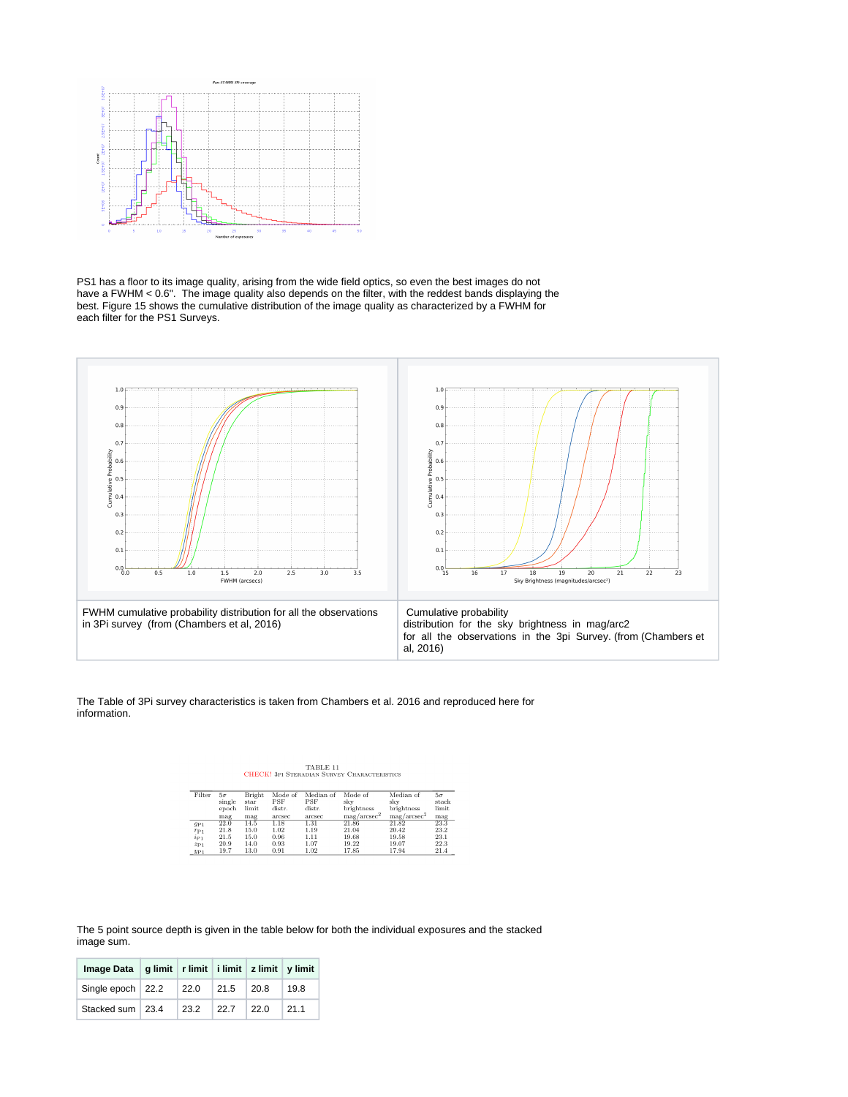

PS1 has a floor to its image quality, arising from the wide field optics, so even the best images do not have a FWHM < 0.6". The image quality also depends on the filter, with the reddest bands displaying the best. Figure 15 shows the cumulative distribution of the image quality as characterized by a FWHM for each filter for the PS1 Surveys.



The Table of 3Pi survey characteristics is taken from Chambers et al. 2016 and reproduced here for information.

 $\begin{minipage}{0.9\linewidth} \textbf{TABLE 11} \\ \textbf{CHECK! 3PI STERADIAN SURVEY CHARACTERISTICS} \end{minipage}$ 

| Filter          | 5σ     | Bright | Mode of | Median of  | Mode of                 | Median of               | $5\sigma$ |
|-----------------|--------|--------|---------|------------|-------------------------|-------------------------|-----------|
|                 | single | star   | PSF     | <b>PSF</b> | skv                     | skv                     | stack     |
|                 | epoch  | limit  | distr.  | distr.     | brightness              | brightness              | limit     |
|                 | mag    | mag    | arcsec  | arcsec     | mag/arcsec <sup>2</sup> | mag/arcsec <sup>2</sup> | mag       |
| $g_{P1}$        | 22.0   | 14.5   | 1.18    | 1.31       | 21.86                   | 21.82                   | 23.3      |
| $r_{P1}$        | 21.8   | 15.0   | 1.02    | 1.19       | 21.04                   | 20.42                   | 23.2      |
| $i_{P1}$        | 21.5   | 15.0   | 0.96    | 1.11       | 19.68                   | 19.58                   | 23.1      |
| $z_{P1}$        | 20.9   | 14.0   | 0.93    | 1.07       | 19.22                   | 19.07                   | 22.3      |
| 2I <sub>1</sub> | 19.7   | 13 O   | 0.91    | 1.02       | 1785                    | 1794                    | 214       |

The 5 point source depth is given in the table below for both the individual exposures and the stacked image sum.

| Image Data   g limit   r limit   i limit   z limit   y limit |  |                  |      |
|--------------------------------------------------------------|--|------------------|------|
| Single epoch $22.2$ 22.0 21.5 20.8                           |  |                  | 19.8 |
| Stacked sum 23.4                                             |  | $23.2$ 22.7 22.0 | 21.1 |